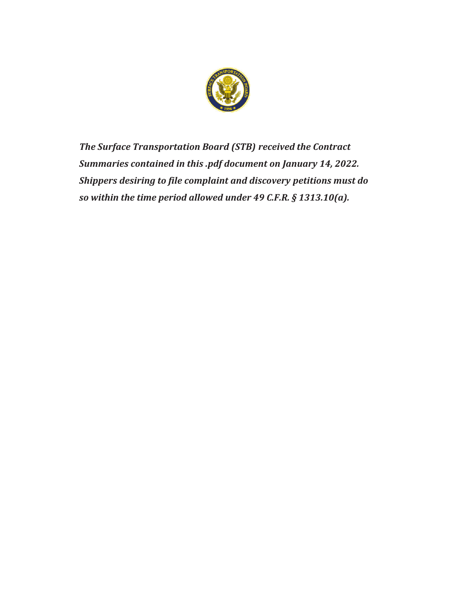

*The Surface Transportation Board (STB) received the Contract Summaries contained in this .pdf document on January 14, 2022. Shippers desiring to file complaint and discovery petitions must do so within the time period allowed under 49 C.F.R. § 1313.10(a).*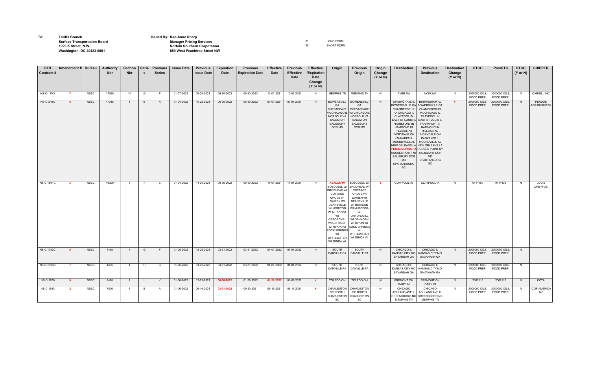| To: | <b>Tariffs Branch</b>               | <b>Issued By: Rae-Anne Sharp</b>    |                   |
|-----|-------------------------------------|-------------------------------------|-------------------|
|     | <b>Surface Transportation Board</b> | <b>Manager Pricing Services</b>     | LONG FORM         |
|     | 1925 K Street, N.W.                 | <b>Norfolk Southern Corporation</b> | <b>SHORT FORM</b> |
|     | <b>Washington, DC 20423-0001</b>    | 650 West Peachtree Street NW        |                   |
|     |                                     |                                     |                   |

| <b>STB</b>        | Amendment # Bureau |             | Authority  | <b>Section</b> | Serie        | <b>Previous</b> | <b>Issue Date</b> | <b>Previous</b>   | Expiration | <b>Previous</b>        | <b>Effective</b> | <b>Previous</b>          | <b>Effective</b>                                     | Origin                                                                                                                                                                                                                                                                     | <b>Previous</b>                                                                                                                                                                                                                                      | Origin                        | <b>Destination</b>                                                                                                                                                                                                                                                                                         | <b>Previous</b>                                                                                                                                                                                                                                                                                                                                                                                | <b>Destination</b>            | <b>STCC</b>                 | <b>PrevSTC</b>              | <b>STCC</b>         | <b>SHIPPER</b>                    |
|-------------------|--------------------|-------------|------------|----------------|--------------|-----------------|-------------------|-------------------|------------|------------------------|------------------|--------------------------|------------------------------------------------------|----------------------------------------------------------------------------------------------------------------------------------------------------------------------------------------------------------------------------------------------------------------------------|------------------------------------------------------------------------------------------------------------------------------------------------------------------------------------------------------------------------------------------------------|-------------------------------|------------------------------------------------------------------------------------------------------------------------------------------------------------------------------------------------------------------------------------------------------------------------------------------------------------|------------------------------------------------------------------------------------------------------------------------------------------------------------------------------------------------------------------------------------------------------------------------------------------------------------------------------------------------------------------------------------------------|-------------------------------|-----------------------------|-----------------------------|---------------------|-----------------------------------|
| Contract#         |                    |             | <b>Nbr</b> | <b>Nbr</b>     |              | <b>Series</b>   |                   | <b>Issue Date</b> | Date       | <b>Expiration Date</b> | Date             | <b>Effective</b><br>Date | /Expiration<br>Date<br>Change<br>$(Y \text{ or } N)$ |                                                                                                                                                                                                                                                                            | Origin                                                                                                                                                                                                                                               | Change<br>$(Y \text{ or } N)$ |                                                                                                                                                                                                                                                                                                            | <b>Destination</b>                                                                                                                                                                                                                                                                                                                                                                             | Change<br>$(Y \text{ or } N)$ |                             |                             | $(Y \text{ or } N)$ |                                   |
| <b>NS-C-1700I</b> | -7                 | <b>NSSC</b> | 17050      | 10             | G            | F.              | 01-07-2022        | 09-29-2021        | 09-30-2022 | 09-30-2022             | 10-01-2021       | 10-01-2021               | N                                                    | <b>MEMPHIS TN</b>                                                                                                                                                                                                                                                          | <b>MEMPHIS TN</b>                                                                                                                                                                                                                                    | N                             | AYER MA                                                                                                                                                                                                                                                                                                    | AYER MA                                                                                                                                                                                                                                                                                                                                                                                        | N                             | 2000000 OILS,<br>FOOD PREP. | 2000000 OILS,<br>FOOD PREP. | N                   | <b>CARGILL INC</b>                |
| <b>NS-C-348A</b>  | -8                 | <b>NSSC</b> | 17315      | $\overline{1}$ | B            | A               | 01-04-2022        | 10-22-2021        | 06-30-2022 | 06-30-2022             | 07-01-2021       | 07-01-2021               | N                                                    | <b>BOWERSVILL</b><br>GA<br>CHESAPEAKE<br>VA CHICAGO II<br><b>NORFOLK VA</b><br>SALEM OH<br><b>SALISBURY</b><br>DCR MD                                                                                                                                                      | <b>BOWERSVILL</b><br>GA<br>CHESAPEAKE<br>VA CHICAGO IL<br><b>NORFOLK VA</b><br><b>SALEM OH</b><br>SALISBURY<br>DCR MD                                                                                                                                | N                             | <b>BIRMINGHAM AL</b><br><b>BOWERSVILLE GA</b><br>CHAMBERSBUR<br>PA CHICAGO IL<br><b>CLAYPOOL IN</b><br><b>EAST ST LOUIS IL</b><br>FRANKFORT IN<br><b>HAMMOND IN</b><br><b>HILLSIDE NJ</b><br><b>IVORYDALE OH</b><br>KANKAKEE IL<br>MOUNDVILLE AL<br><b>SALISBURY DCR</b><br><b>MD</b><br>SPARTANBURG<br>SC | <b>BIRMINGHAM AL</b><br><b>BOWERSVILLE GA</b><br>CHAMBERSBUR<br>PA CHICAGO IL<br><b>CLAYPOOL IN</b><br><b>EAST ST LOUIS IL</b><br>FRANKFORT IN<br><b>HAMMOND IN</b><br><b>HILLSIDE NJ</b><br><b>IVORYDALE OH</b><br>KANKAKEE IL<br>MOUNDVILLE AL<br>NEW ORLEANS LA NEW ORLEANS LA<br>PHILADELPHIA PA ROUSES POINT NY<br>ROUSES POINT NY SALISBURY DCR<br><b>MD</b><br>SPARTANBURG<br><b>SC</b> | Y                             | 2000000 OILS,<br>FOOD PREP. | 2000000 OILS,<br>FOOD PREP. | N                   | PERDUE<br>AGRIBUSINESS            |
| <b>NS-C-1691C</b> | -5                 | <b>NSSC</b> | 19309      | $\overline{4}$ |              | E               | 01-04-2022        | 11-05-2021        | 09-30-2022 | 09-30-2022             | 11-01-2021       | 11-01-2021               | N                                                    | <b>AVALON WI</b><br><b>BOSCOBEL WI</b><br><b>BRODHEAD WI</b><br>COTTAGE<br><b>GROVE WI</b><br><b>DARIEN WI</b><br><b>DEANSVILLE</b><br>WI HORICON<br>WI MUSCODA<br>WI<br>ORFORDVILL<br>WI OSHKOSH<br>WI RIPON WI<br><b>ROCK SPRINGS</b><br>WI<br>WHITEWATER<br>WI ZENDA WI | <b>BOSCOBEL W</b><br><b>BRODHEAD W</b><br>COTTAGE<br><b>GROVE WI</b><br><b>DARIEN WI</b><br><b>DEANSVILLE</b><br>WI HORICON<br>WI MUSCODA<br>WI<br>ORFORDVILL<br>WI OSHKOSH<br>WI RIPON WI<br><b>ROCK SPRINGS</b><br>WI<br>WHITEWATER<br>WI ZENDA WI |                               | <b>CLAYPOOL IN</b>                                                                                                                                                                                                                                                                                         | <b>CLAYPOOL IN</b>                                                                                                                                                                                                                                                                                                                                                                             | N                             | 0114400                     | 0114400                     | N                   | LOUIS<br><b>DREYFUS</b>           |
| <b>NS-C-1793C</b> | -6                 | <b>NSSC</b> | 4465       | $\overline{4}$ | G            | F.              | 01-05-2022        | 12-22-2021        | 03-31-2022 | 03-31-2022             | 01-01-2022       | 01-01-2022               | N                                                    | SOUTH<br><b>DANVILLE PA</b>                                                                                                                                                                                                                                                | SOUTH<br><b>DANVILLE PA</b>                                                                                                                                                                                                                          | N                             | CHICAGO IL<br>KANSAS CITY MO<br>SAVANNAH GA                                                                                                                                                                                                                                                                | CHICAGO IL<br>KANSAS CITY MO<br>SAVANNAH GA                                                                                                                                                                                                                                                                                                                                                    | N                             | 2000000 OILS,<br>FOOD PREP. | 2000000 OILS,<br>FOOD PREP. | N                   |                                   |
| <b>NS-C-1793C</b> | -7                 | <b>NSSC</b> | 4465       | $\overline{4}$ | H            | G               | 01-06-2022        | 01-05-2022        | 03-31-2022 | 03-31-2022             | 01-01-2022       | 01-01-2022               | N                                                    | SOUTH<br>DANVILLE PA                                                                                                                                                                                                                                                       | SOUTH<br>DANVILLE PA                                                                                                                                                                                                                                 | N                             | CHICAGO IL<br>KANSAS CITY MO<br>SAVANNAH GA                                                                                                                                                                                                                                                                | <b>CHICAGO IL</b><br>KANSAS CITY MO<br>SAVANNAH GA                                                                                                                                                                                                                                                                                                                                             | N                             | 2000000 OILS,<br>FOOD PREP. | 2000000 OILS,<br>FOOD PREP. | N                   |                                   |
| <b>NS-C-1879</b>  | -9                 | <b>NSSC</b> | 6498       | $\overline{1}$ | $\mathsf{L}$ | K               | 01-06-2022        | 12-21-2021        | 06-30-2022 | 01-20-2022             | 01-21-2022       | 01-01-2022               | Y.                                                   | TOLEDO OH                                                                                                                                                                                                                                                                  | TOLEDO OH                                                                                                                                                                                                                                            | N                             | FREMONT OH<br><b>GARY IN</b>                                                                                                                                                                                                                                                                               | <b>FREMONT OH</b><br><b>GARY IN</b>                                                                                                                                                                                                                                                                                                                                                            | N                             | 2062110                     | 2062110                     | N                   | <b>CCTA</b>                       |
| NS-C-1913         | $\overline{2}$     | <b>NSSC</b> | 7506       |                | B            | $\mathsf{A}$    | 01-06-2022        | 06-16-2021        | 03-31-2022 | 09-30-2021             | 06-16-2021       | 06-16-2021               | Y                                                    | CHARLESTON<br><b>SC NORTH</b><br>CHARLESTON<br>SC                                                                                                                                                                                                                          | CHARLESTON<br><b>SC NORTH</b><br>CHARLESTON<br>SC                                                                                                                                                                                                    | N                             | CHICAGO<br>ASHLAND AVE IL<br><b>MEMPHIS TN</b>                                                                                                                                                                                                                                                             | CHICAGO<br>ASHLAND AVE IL<br>GREENSBORO NC GREENSBORO NC<br><b>MEMPHIS TN</b>                                                                                                                                                                                                                                                                                                                  | N                             | 2000000 OILS,<br>FOOD PREP. | 2000000 OILS,<br>FOOD PREP. | N                   | <b>ICOF AMERICA</b><br><b>INC</b> |